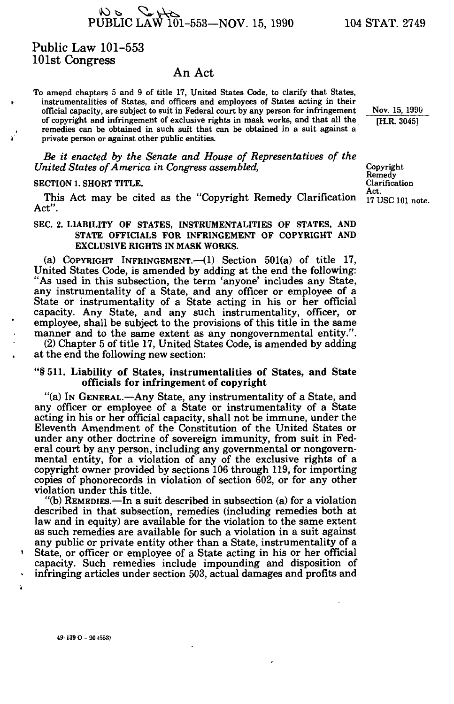$W > 2 + 6$ <br>PUBLIC LAW 101-553-NOV. 15, 1990 104 STAT. 2749

## Public Law 101-553 101st Congress

### An Act

To amend chapters 5 and 9 of title 17, United States Code, to clarify that States, instrumentalities of States, and officers and employees of States acting in their official capacity, are subject to suit in Federal court by any person for infringement of copyright and infringement of exclusive rights in mask works, and that all the remedies can be obtained in such suit that can be obtained in a suit against a private person or against other public entities.

*Be it enacted by the Senate and House of Representatives of the United States of America in Congress assembled,* Copyright Copyright

# SECTION 1. SHORT TITLE. CLARIFICATION CLARIFICATION

This Act may be cited as the  $\omega$ pyright Remedy Clarification  $17 \text{ USC} 101$  note. Act".

### SEC. 2. LIABILITY OF STATES, INSTRUMENTALITIES OF STATES, AND STATE OFFICIALS FOR INFRINGEMENT OF COPYRIGHT AND EXCLUSIVE RIGHTS IN MASK WORKS.

(a) COPYRIGHT INFRINGEMENT.—(1) Section 501(a) of title 17, United States Code, is amended by adding at the end the following: "As used in this subsection, the term 'anyone' includes any State, any instrumentality of a State, and any officer or employee of a State or instrumentality of a State acting in his or her official capacity. Any State, and any such instrumentality, officer, or employee, shall be subject to the provisions of this title in the same manner and to the same extent as any nongovernmental entity.".

(2) Chapter 5 of title 17, United States Code, is amended by adding at the end the following new section:

#### "§ 511. Liability of States, instrumentalities of States, and State officials for infringement of copyright

"(a) IN GENERAL.—Any State, any instrumentality of a State, and any officer or employee of a State or instrumentality of a State acting in his or her official capacity, shall not be immune, under the Eleventh Amendment of the Constitution of the United States or under any other doctrine of sovereign immunity, from suit in Federal court by any person, including any governmental or nongovernmental entity, for a violation of any of the exclusive rights of a copyright owner provided by sections 106 through 119, for importing copies of phonorecords in violation of section  $602$ , or for any other violation under this title.

"(b) REMEDIES.—In a suit described in subsection (a) for a violation described in that subsection, remedies (including remedies both at law and in equity) are available for the violation to the same extent as such remedies are available for such a violation in a suit against any public or private entity other than a State, instrumentality of a

.<br>ا State, or officer or employee of a State acting in his or her official capacity. Such remedies include impounding and disposition of • infringing articles under section 503, actual damages and profits and

Clarification Act.<br>17 USC 101 note.

Nov. 15, 1990 [H.R. 3045]

49-139 O - 90 (553)

ź.